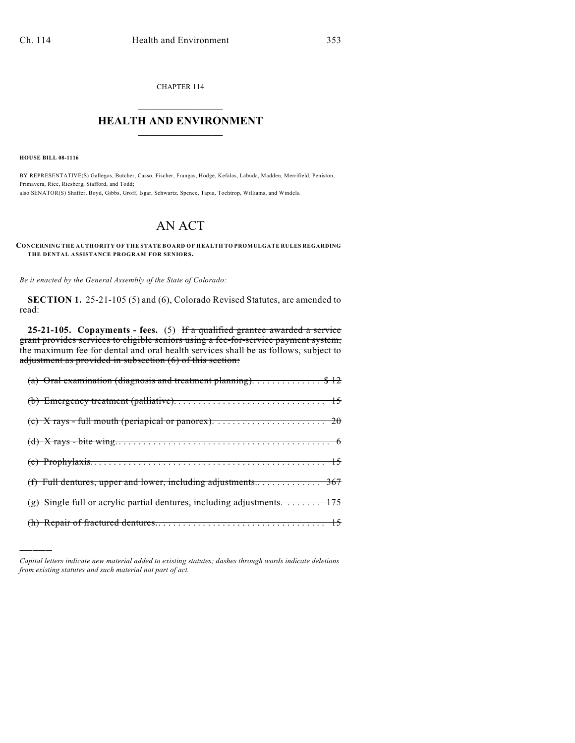CHAPTER 114  $\mathcal{L}_\text{max}$  . The set of the set of the set of the set of the set of the set of the set of the set of the set of the set of the set of the set of the set of the set of the set of the set of the set of the set of the set

## **HEALTH AND ENVIRONMENT**  $\_$

**HOUSE BILL 08-1116**

)))))

BY REPRESENTATIVE(S) Gallegos, Butcher, Casso, Fischer, Frangas, Hodge, Kefalas, Labuda, Madden, Merrifield, Peniston, Primavera, Rice, Riesberg, Stafford, and Todd; also SENATOR(S) Shaffer, Boyd, Gibbs, Groff, Isgar, Schwartz, Spence, Tapia, Tochtrop, Williams, and Windels.

## AN ACT

## **CONCERNING THE AUTHORITY OF THE STATE BOARD OF HEALTH TO PROMULGATE RULES REGARDING THE DENTAL ASSISTANCE PROGRAM FOR SENIORS.**

*Be it enacted by the General Assembly of the State of Colorado:*

**SECTION 1.** 25-21-105 (5) and (6), Colorado Revised Statutes, are amended to read:

**25-21-105. Copayments - fees.** (5) If a qualified grantee awarded a service grant provides services to eligible seniors using a fee-for-service payment system, the maximum fee for dental and oral health services shall be as follows, subject to adjustment as provided in subsection (6) of this section:

| (a) Oral examination (diagnosis and treatment planning). \$ 12          |
|-------------------------------------------------------------------------|
|                                                                         |
|                                                                         |
|                                                                         |
|                                                                         |
|                                                                         |
| (g) Single full or acrylic partial dentures, including adjustments. 175 |
|                                                                         |

*Capital letters indicate new material added to existing statutes; dashes through words indicate deletions from existing statutes and such material not part of act.*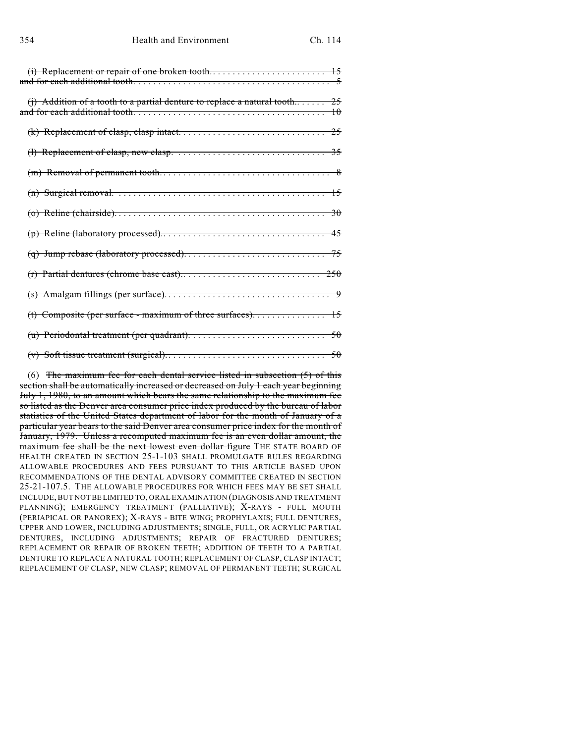| (j) Addition of a tooth to a partial denture to replace a natural tooth 25 |  |
|----------------------------------------------------------------------------|--|
|                                                                            |  |
|                                                                            |  |
|                                                                            |  |
|                                                                            |  |
|                                                                            |  |
|                                                                            |  |
|                                                                            |  |
|                                                                            |  |
|                                                                            |  |
|                                                                            |  |
|                                                                            |  |
|                                                                            |  |
|                                                                            |  |

(6) The maximum fee for each dental service listed in subsection  $(5)$  of this section shall be automatically increased or decreased on July 1 each year beginning July 1, 1980, to an amount which bears the same relationship to the maximum fee so listed as the Denver area consumer price index produced by the bureau of labor statistics of the United States department of labor for the month of January of a particular year bears to the said Denver area consumer price index for the month of January, 1979. Unless a recomputed maximum fee is an even dollar amount, the maximum fee shall be the next lowest even dollar figure THE STATE BOARD OF HEALTH CREATED IN SECTION 25-1-103 SHALL PROMULGATE RULES REGARDING ALLOWABLE PROCEDURES AND FEES PURSUANT TO THIS ARTICLE BASED UPON RECOMMENDATIONS OF THE DENTAL ADVISORY COMMITTEE CREATED IN SECTION 25-21-107.5. THE ALLOWABLE PROCEDURES FOR WHICH FEES MAY BE SET SHALL INCLUDE, BUT NOT BE LIMITED TO, ORAL EXAMINATION (DIAGNOSIS AND TREATMENT PLANNING); EMERGENCY TREATMENT (PALLIATIVE); X-RAYS - FULL MOUTH (PERIAPICAL OR PANOREX); X-RAYS - BITE WING; PROPHYLAXIS; FULL DENTURES, UPPER AND LOWER, INCLUDING ADJUSTMENTS; SINGLE, FULL, OR ACRYLIC PARTIAL DENTURES, INCLUDING ADJUSTMENTS; REPAIR OF FRACTURED DENTURES; REPLACEMENT OR REPAIR OF BROKEN TEETH; ADDITION OF TEETH TO A PARTIAL DENTURE TO REPLACE A NATURAL TOOTH; REPLACEMENT OF CLASP, CLASP INTACT; REPLACEMENT OF CLASP, NEW CLASP; REMOVAL OF PERMANENT TEETH; SURGICAL